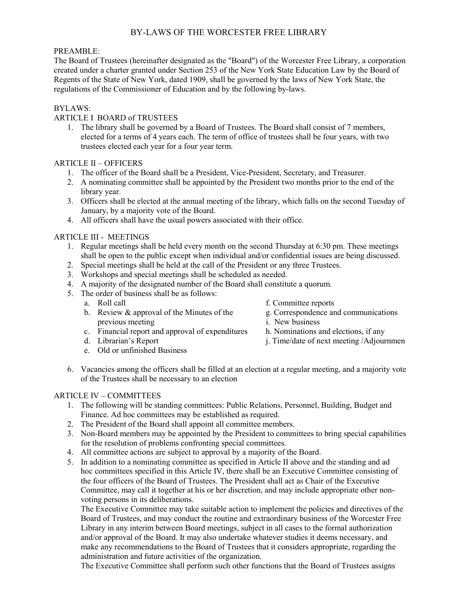# BY-LAWS OF THE WORCESTER FREE LIBRARY

## PREAMBLE:

The Board of Trustees (hereinafter designated as the "Board") of the Worcester Free Library, a corporation created under a charter granted under Section 253 of the New York State Education Law by the Board of Regents of the State of New York, dated 1909, shall be governed by the laws of New York State, the regulations of the Commissioner of Education and by the following by-laws.

# BYLAWS:

## ARTICLE I BOARD of TRUSTEES

1. The library shall be governed by a Board of Trustees. The Board shall consist of 7 members, elected for a terms of 4 years each. The term of office of trustees shall be four years, with two trustees elected each year for a four year term.

#### ARTICLE II – OFFICERS

- 1. The officer of the Board shall be a President, Vice-President, Secretary, and Treasurer.
- 2. A nominating committee shall be appointed by the President two months prior to the end of the library year.
- 3. Officers shall be elected at the annual meeting of the library, which falls on the second Tuesday of January, by a majority vote of the Board.
- 4. All officers shall have the usual powers associated with their office.

## ARTICLE III - MEETINGS

- 1. Regular meetings shall be held every month on the second Thursday at 6:30 pm. These meetings shall be open to the public except when individual and/or confidential issues are being discussed.
- 2. Special meetings shall be held at the call of the President or any three Trustees.
- 3. Workshops and special meetings shall be scheduled as needed.
- 4. A majority of the designated number of the Board shall constitute a quorum.
- 5. The order of business shall be as follows:
	-
	- a. Roll call  $\alpha$  f. Committee reports<br>b. Review & approval of the Minutes of the  $\alpha$  g. Correspondence and communications b. Review  $\&$  approval of the Minutes of the g. Correspondence previous meeting i. New business previous meeting
	- c. Financial report and approval of expenditures h. Nominations and elections, if any
	-
	- e. Old or unfinished Business
- 
- 
- 
- 
- d. Librarian's Report j. Time/date of next meeting /Adjournmen
- 6. Vacancies among the officers shall be filled at an election at a regular meeting, and a majority vote of the Trustees shall be necessary to an election

#### ARTICLE IV – COMMITTEES

- 1. The following will be standing committees: Public Relations, Personnel, Building, Budget and Finance. Ad hoc committees may be established as required.
- 2. The President of the Board shall appoint all committee members.
- 3. Non-Board members may be appointed by the President to committees to bring special capabilities for the resolution of problems confronting special committees.
- 4. All committee actions are subject to approval by a majority of the Board.
- 5. In addition to a nominating committee as specified in Article II above and the standing and ad hoc committees specified in this Article IV, there shall be an Executive Committee consisting of the four officers of the Board of Trustees. The President shall act as Chair of the Executive Committee, may call it together at his or her discretion, and may include appropriate other nonvoting persons in its deliberations.

The Executive Committee may take suitable action to implement the policies and directives of the Board of Trustees, and may conduct the routine and extraordinary business of the Worcester Free Library in any interim between Board meetings, subject in all cases to the formal authorization and/or approval of the Board. It may also undertake whatever studies it deems necessary, and make any recommendations to the Board of Trustees that it considers appropriate, regarding the administration and future activities of the organization.

The Executive Committee shall perform such other functions that the Board of Trustees assigns